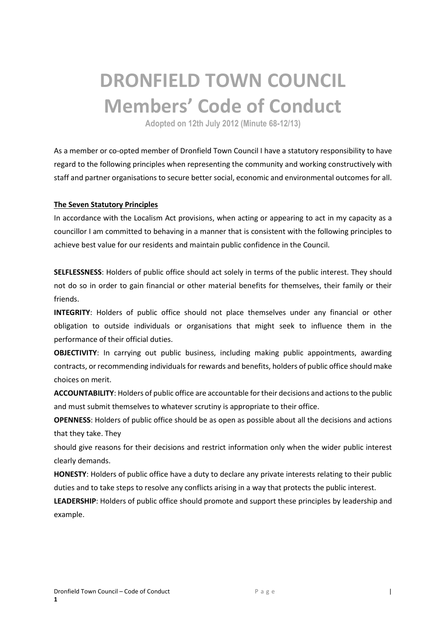# **DRONFIELD TOWN COUNCIL Members' Code of Conduct**

**Adopted on 12th July 2012 (Minute 68-12/13)**

As a member or co-opted member of Dronfield Town Council I have a statutory responsibility to have regard to the following principles when representing the community and working constructively with staff and partner organisations to secure better social, economic and environmental outcomes for all.

## **The Seven Statutory Principles**

In accordance with the Localism Act provisions, when acting or appearing to act in my capacity as a councillor I am committed to behaving in a manner that is consistent with the following principles to achieve best value for our residents and maintain public confidence in the Council.

**SELFLESSNESS**: Holders of public office should act solely in terms of the public interest. They should not do so in order to gain financial or other material benefits for themselves, their family or their friends.

**INTEGRITY**: Holders of public office should not place themselves under any financial or other obligation to outside individuals or organisations that might seek to influence them in the performance of their official duties.

**OBJECTIVITY**: In carrying out public business, including making public appointments, awarding contracts, or recommending individuals for rewards and benefits, holders of public office should make choices on merit.

**ACCOUNTABILITY**: Holders of public office are accountable for their decisions and actions to the public and must submit themselves to whatever scrutiny is appropriate to their office.

**OPENNESS**: Holders of public office should be as open as possible about all the decisions and actions that they take. They

should give reasons for their decisions and restrict information only when the wider public interest clearly demands.

**HONESTY**: Holders of public office have a duty to declare any private interests relating to their public duties and to take steps to resolve any conflicts arising in a way that protects the public interest.

**LEADERSHIP**: Holders of public office should promote and support these principles by leadership and example.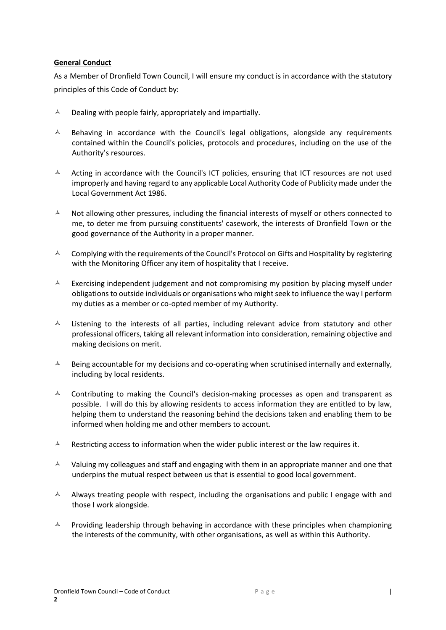## **General Conduct**

As a Member of Dronfield Town Council, I will ensure my conduct is in accordance with the statutory principles of this Code of Conduct by:

- $\lambda$  Dealing with people fairly, appropriately and impartially.
- $\blacktriangle$  Behaving in accordance with the Council's legal obligations, alongside any requirements contained within the Council's policies, protocols and procedures, including on the use of the Authority's resources.
- $\blacktriangle$  Acting in accordance with the Council's ICT policies, ensuring that ICT resources are not used improperly and having regard to any applicable Local Authority Code of Publicity made under the Local Government Act 1986.
- $\uparrow$  Not allowing other pressures, including the financial interests of myself or others connected to me, to deter me from pursuing constituents' casework, the interests of Dronfield Town or the good governance of the Authority in a proper manner.
- $\triangle$  Complying with the requirements of the Council's Protocol on Gifts and Hospitality by registering with the Monitoring Officer any item of hospitality that I receive.
- $\triangle$  Exercising independent judgement and not compromising my position by placing myself under obligations to outside individuals or organisations who might seek to influence the way I perform my duties as a member or co-opted member of my Authority.
- $\lambda$  Listening to the interests of all parties, including relevant advice from statutory and other professional officers, taking all relevant information into consideration, remaining objective and making decisions on merit.
- $\lambda$  Being accountable for my decisions and co-operating when scrutinised internally and externally, including by local residents.
- $\lambda$  Contributing to making the Council's decision-making processes as open and transparent as possible. I will do this by allowing residents to access information they are entitled to by law, helping them to understand the reasoning behind the decisions taken and enabling them to be informed when holding me and other members to account.
- $\lambda$  Restricting access to information when the wider public interest or the law requires it.
- $\lambda$  Valuing my colleagues and staff and engaging with them in an appropriate manner and one that underpins the mutual respect between us that is essential to good local government.
- $\blacktriangle$  Always treating people with respect, including the organisations and public I engage with and those I work alongside.
- $\blacktriangle$  Providing leadership through behaving in accordance with these principles when championing the interests of the community, with other organisations, as well as within this Authority.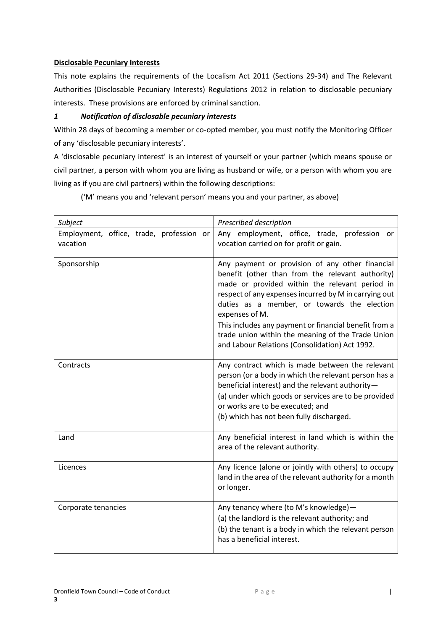## **Disclosable Pecuniary Interests**

This note explains the requirements of the Localism Act 2011 (Sections 29-34) and The Relevant Authorities (Disclosable Pecuniary Interests) Regulations 2012 in relation to disclosable pecuniary interests. These provisions are enforced by criminal sanction.

## *1 Notification of disclosable pecuniary interests*

Within 28 days of becoming a member or co-opted member, you must notify the Monitoring Officer of any 'disclosable pecuniary interests'.

A 'disclosable pecuniary interest' is an interest of yourself or your partner (which means spouse or civil partner, a person with whom you are living as husband or wife, or a person with whom you are living as if you are civil partners) within the following descriptions:

('M' means you and 'relevant person' means you and your partner, as above)

| Subject                                              | Prescribed description                                                                                                                                                                                                                                                                                                                                                                                                                          |
|------------------------------------------------------|-------------------------------------------------------------------------------------------------------------------------------------------------------------------------------------------------------------------------------------------------------------------------------------------------------------------------------------------------------------------------------------------------------------------------------------------------|
| Employment, office, trade, profession or<br>vacation | Any employment, office, trade, profession<br>or<br>vocation carried on for profit or gain.                                                                                                                                                                                                                                                                                                                                                      |
| Sponsorship                                          | Any payment or provision of any other financial<br>benefit (other than from the relevant authority)<br>made or provided within the relevant period in<br>respect of any expenses incurred by M in carrying out<br>duties as a member, or towards the election<br>expenses of M.<br>This includes any payment or financial benefit from a<br>trade union within the meaning of the Trade Union<br>and Labour Relations (Consolidation) Act 1992. |
| Contracts                                            | Any contract which is made between the relevant<br>person (or a body in which the relevant person has a<br>beneficial interest) and the relevant authority-<br>(a) under which goods or services are to be provided<br>or works are to be executed; and<br>(b) which has not been fully discharged.                                                                                                                                             |
| Land                                                 | Any beneficial interest in land which is within the<br>area of the relevant authority.                                                                                                                                                                                                                                                                                                                                                          |
| Licences                                             | Any licence (alone or jointly with others) to occupy<br>land in the area of the relevant authority for a month<br>or longer.                                                                                                                                                                                                                                                                                                                    |
| Corporate tenancies                                  | Any tenancy where (to M's knowledge)-<br>(a) the landlord is the relevant authority; and<br>(b) the tenant is a body in which the relevant person<br>has a beneficial interest.                                                                                                                                                                                                                                                                 |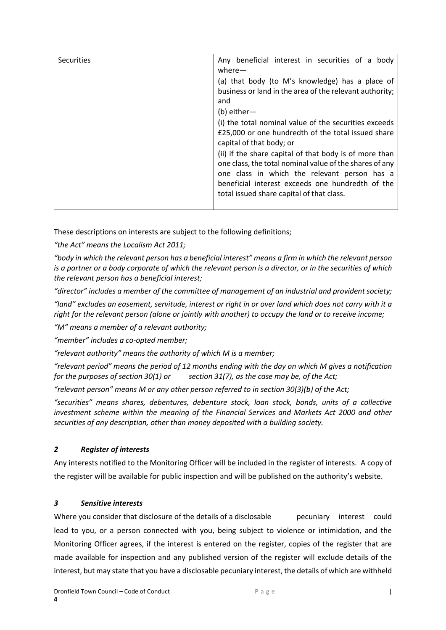| <b>Securities</b> | Any beneficial interest in securities of a body<br>where $-$                                                                                                      |
|-------------------|-------------------------------------------------------------------------------------------------------------------------------------------------------------------|
|                   | (a) that body (to M's knowledge) has a place of<br>business or land in the area of the relevant authority;                                                        |
|                   | and<br>$(b)$ either-                                                                                                                                              |
|                   | (i) the total nominal value of the securities exceeds<br>£25,000 or one hundredth of the total issued share<br>capital of that body; or                           |
|                   | (ii) if the share capital of that body is of more than<br>one class, the total nominal value of the shares of any<br>one class in which the relevant person has a |
|                   | beneficial interest exceeds one hundredth of the<br>total issued share capital of that class.                                                                     |

These descriptions on interests are subject to the following definitions;

*"the Act" means the Localism Act 2011;*

*"body in which the relevant person has a beneficial interest" means a firm in which the relevant person is a partner or a body corporate of which the relevant person is a director, or in the securities of which the relevant person has a beneficial interest;*

*"director" includes a member of the committee of management of an industrial and provident society;*

*"land" excludes an easement, servitude, interest or right in or over land which does not carry with it a right for the relevant person (alone or jointly with another) to occupy the land or to receive income;*

*"M" means a member of a relevant authority;*

*"member" includes a co-opted member;*

*"relevant authority" means the authority of which M is a member;*

*"relevant period" means the period of 12 months ending with the day on which M gives a notification for the purposes of section 30(1) or section 31(7), as the case may be, of the Act;*

*"relevant person" means M or any other person referred to in section 30(3)(b) of the Act;*

*"securities" means shares, debentures, debenture stock, loan stock, bonds, units of a collective investment scheme within the meaning of the Financial Services and Markets Act 2000 and other securities of any description, other than money deposited with a building society.*

## *2 Register of interests*

Any interests notified to the Monitoring Officer will be included in the register of interests. A copy of the register will be available for public inspection and will be published on the authority's website.

## *3 Sensitive interests*

Where you consider that disclosure of the details of a disclosable pecuniary interest could lead to you, or a person connected with you, being subject to violence or intimidation, and the Monitoring Officer agrees, if the interest is entered on the register, copies of the register that are made available for inspection and any published version of the register will exclude details of the interest, but may state that you have a disclosable pecuniary interest, the details of which are withheld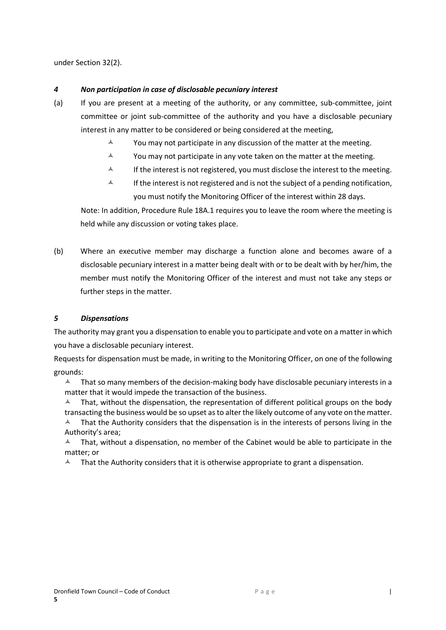under Section 32(2).

## *4 Non participation in case of disclosable pecuniary interest*

- (a) If you are present at a meeting of the authority, or any committee, sub-committee, joint committee or joint sub-committee of the authority and you have a disclosable pecuniary interest in any matter to be considered or being considered at the meeting,
	- $\lambda$  You may not participate in any discussion of the matter at the meeting.
	- $\lambda$  You may not participate in any vote taken on the matter at the meeting.
	- $\lambda$  If the interest is not registered, you must disclose the interest to the meeting.
	- $\uparrow$  If the interest is not registered and is not the subject of a pending notification, you must notify the Monitoring Officer of the interest within 28 days.

Note: In addition, Procedure Rule 18A.1 requires you to leave the room where the meeting is held while any discussion or voting takes place.

(b) Where an executive member may discharge a function alone and becomes aware of a disclosable pecuniary interest in a matter being dealt with or to be dealt with by her/him, the member must notify the Monitoring Officer of the interest and must not take any steps or further steps in the matter.

## *5 Dispensations*

The authority may grant you a dispensation to enable you to participate and vote on a matter in which you have a disclosable pecuniary interest.

Requests for dispensation must be made, in writing to the Monitoring Officer, on one of the following grounds:

 $\lambda$  That so many members of the decision-making body have disclosable pecuniary interests in a matter that it would impede the transaction of the business.

 That, without the dispensation, the representation of different political groups on the body transacting the business would be so upset as to alter the likely outcome of any vote on the matter.

 $\blacktriangle$  That the Authority considers that the dispensation is in the interests of persons living in the Authority's area;

 $\lambda$  That, without a dispensation, no member of the Cabinet would be able to participate in the matter; or

 $\blacktriangle$  That the Authority considers that it is otherwise appropriate to grant a dispensation.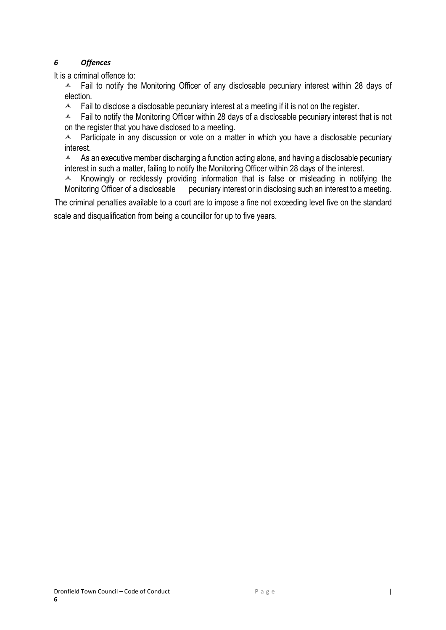# *6 Offences*

It is a criminal offence to:

 $\overline{A}$  Fail to notify the Monitoring Officer of any disclosable pecuniary interest within 28 days of election.

 $\blacktriangle$  Fail to disclose a disclosable pecuniary interest at a meeting if it is not on the register.

 $\blacktriangle$  Fail to notify the Monitoring Officer within 28 days of a disclosable pecuniary interest that is not on the register that you have disclosed to a meeting.

 $\triangle$  Participate in any discussion or vote on a matter in which you have a disclosable pecuniary interest.

 $\blacktriangle$  As an executive member discharging a function acting alone, and having a disclosable pecuniary interest in such a matter, failing to notify the Monitoring Officer within 28 days of the interest.

 $\triangle$  Knowingly or recklessly providing information that is false or misleading in notifying the Monitoring Officer of a disclosable pecuniary interest or in disclosing such an interest to a meeting.

The criminal penalties available to a court are to impose a fine not exceeding level five on the standard scale and disqualification from being a councillor for up to five years.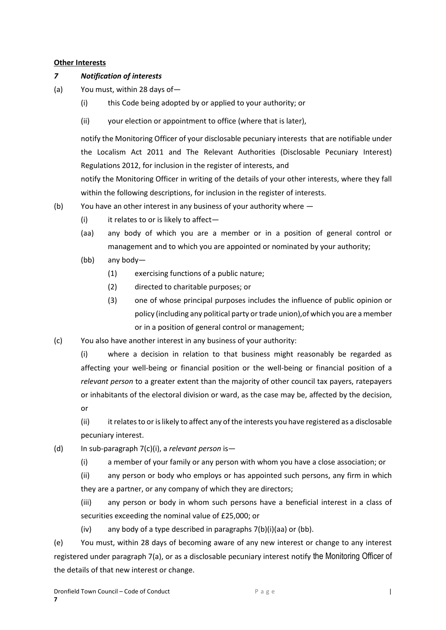## **Other Interests**

## *7 Notification of interests*

- (a) You must, within 28 days of—
	- (i) this Code being adopted by or applied to your authority; or
	- (ii) your election or appointment to office (where that is later),

notify the Monitoring Officer of your disclosable pecuniary interests that are notifiable under the Localism Act 2011 and The Relevant Authorities (Disclosable Pecuniary Interest) Regulations 2012, for inclusion in the register of interests, and

notify the Monitoring Officer in writing of the details of your other interests, where they fall within the following descriptions, for inclusion in the register of interests.

- (b) You have an other interest in any business of your authority where
	- (i) it relates to or is likely to affect—
	- (aa) any body of which you are a member or in a position of general control or management and to which you are appointed or nominated by your authority;
	- (bb) any body—
		- (1) exercising functions of a public nature;
		- (2) directed to charitable purposes; or
		- (3) one of whose principal purposes includes the influence of public opinion or policy (including any political party or trade union),of which you are a member or in a position of general control or management;
- (c) You also have another interest in any business of your authority:

(i) where a decision in relation to that business might reasonably be regarded as affecting your well-being or financial position or the well-being or financial position of a *relevant person* to a greater extent than the majority of other council tax payers, ratepayers or inhabitants of the electoral division or ward, as the case may be, affected by the decision, or

(ii) it relates to or is likely to affect any of the interests you have registered as a disclosable pecuniary interest.

- (d) In sub-paragraph 7(c)(i), a *relevant person* is—
	- (i) a member of your family or any person with whom you have a close association; or

(ii) any person or body who employs or has appointed such persons, any firm in which they are a partner, or any company of which they are directors;

(iii) any person or body in whom such persons have a beneficial interest in a class of securities exceeding the nominal value of £25,000; or

(iv) any body of a type described in paragraphs 7(b)(i)(aa) or (bb).

(e) You must, within 28 days of becoming aware of any new interest or change to any interest registered under paragraph 7(a), or as a disclosable pecuniary interest notify the Monitoring Officer of the details of that new interest or change.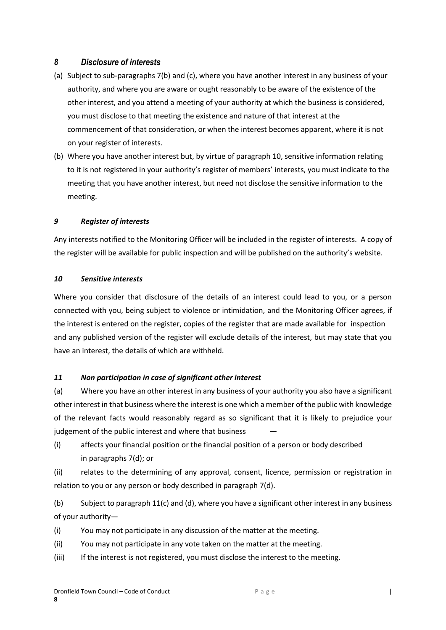## *8 Disclosure of interests*

- (a) Subject to sub-paragraphs 7(b) and (c), where you have another interest in any business of your authority, and where you are aware or ought reasonably to be aware of the existence of the other interest, and you attend a meeting of your authority at which the business is considered, you must disclose to that meeting the existence and nature of that interest at the commencement of that consideration, or when the interest becomes apparent, where it is not on your register of interests.
- (b) Where you have another interest but, by virtue of paragraph 10, sensitive information relating to it is not registered in your authority's register of members' interests, you must indicate to the meeting that you have another interest, but need not disclose the sensitive information to the meeting.

## *9 Register of interests*

Any interests notified to the Monitoring Officer will be included in the register of interests. A copy of the register will be available for public inspection and will be published on the authority's website.

## *10 Sensitive interests*

Where you consider that disclosure of the details of an interest could lead to you, or a person connected with you, being subject to violence or intimidation, and the Monitoring Officer agrees, if the interest is entered on the register, copies of the register that are made available for inspection and any published version of the register will exclude details of the interest, but may state that you have an interest, the details of which are withheld.

## *11 Non participation in case of significant other interest*

(a) Where you have an other interest in any business of your authority you also have a significant other interest in that business where the interest is one which a member of the public with knowledge of the relevant facts would reasonably regard as so significant that it is likely to prejudice your judgement of the public interest and where that business

(i) affects your financial position or the financial position of a person or body described in paragraphs 7(d); or

(ii) relates to the determining of any approval, consent, licence, permission or registration in relation to you or any person or body described in paragraph 7(d).

(b) Subject to paragraph 11(c) and (d), where you have a significant other interest in any business of your authority—

(i) You may not participate in any discussion of the matter at the meeting.

(ii) You may not participate in any vote taken on the matter at the meeting.

(iii) If the interest is not registered, you must disclose the interest to the meeting.